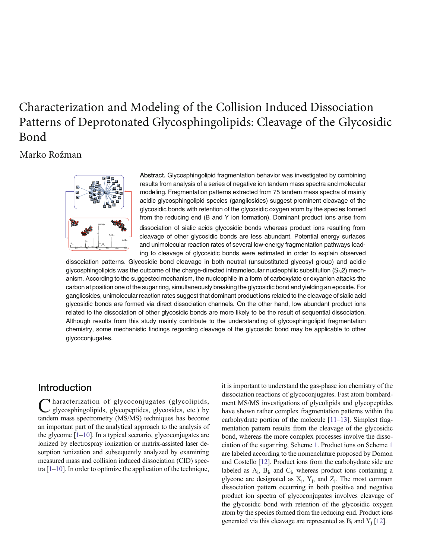# Characterization and Modeling of the Collision Induced Dissociation Patterns of Deprotonated Glycosphingolipids: Cleavage of the Glycosidic Bond

# Marko Rožman



Abstract. Glycosphingolipid fragmentation behavior was investigated by combining results from analysis of a series of negative ion tandem mass spectra and molecular modeling. Fragmentation patterns extracted from 75 tandem mass spectra of mainly acidic glycosphingolipid species (gangliosides) suggest prominent cleavage of the glycosidic bonds with retention of the glycosidic oxygen atom by the species formed from the reducing end (B and Y ion formation). Dominant product ions arise from dissociation of sialic acids glycosidic bonds whereas product ions resulting from cleavage of other glycosidic bonds are less abundant. Potential energy surfaces and unimolecular reaction rates of several low-energy fragmentation pathways leading to cleavage of glycosidic bonds were estimated in order to explain observed

dissociation patterns. Glycosidic bond cleavage in both neutral (unsubstituted glycosyl group) and acidic glycosphingolipids was the outcome of the charge-directed intramolecular nucleophilic substitution  $(S_N 2)$  mechanism. According to the suggested mechanism, the nucleophile in a form of carboxylate or oxyanion attacks the carbon at position one of the sugar ring, simultaneously breaking the glycosidic bond and yielding an epoxide. For gangliosides, unimolecular reaction rates suggest that dominant product ions related to the cleavage of sialic acid glycosidic bonds are formed via direct dissociation channels. On the other hand, low abundant product ions related to the dissociation of other glycosidic bonds are more likely to be the result of sequential dissociation. Although results from this study mainly contribute to the understanding of glycosphingolipid fragmentation chemistry, some mechanistic findings regarding cleavage of the glycosidic bond may be applicable to other glycoconjugates.

# **Introduction**

Characterization of glycoconjugates (glycolipids, glycosphingolipids, glycopeptides, glycosides, etc.) by tandem mass spectrometry (MS/MS) techniques has become an important part of the analytical approach to the analysis of the glycome [\[1](#page-6-0)–[10\]](#page-7-0). In a typical scenario, glycoconjugates are ionized by electrospray ionization or matrix-assisted laser desorption ionization and subsequently analyzed by examining measured mass and collision induced dissociation (CID) spectra  $[1-10]$  $[1-10]$  $[1-10]$  $[1-10]$  $[1-10]$ . In order to optimize the application of the technique,

it is important to understand the gas-phase ion chemistry of the dissociation reactions of glycoconjugates. Fast atom bombardment MS/MS investigations of glycolipids and glycopeptides have shown rather complex fragmentation patterns within the carbohydrate portion of the molecule [[11](#page-7-0)–[13](#page-7-0)]. Simplest fragmentation pattern results from the cleavage of the glycosidic bond, whereas the more complex processes involve the dissociation of the sugar ring, Scheme [1](#page-1-0). Product ions on Scheme [1](#page-1-0) are labeled according to the nomenclature proposed by Domon and Costello [[12\]](#page-7-0). Product ions from the carbohydrate side are labeled as  $A_i$ ,  $B_i$ , and  $C_i$ , whereas product ions containing a glycone are designated as  $X_j$ ,  $Y_j$ , and  $Z_j$ . The most common dissociation pattern occurring in both positive and negative product ion spectra of glycoconjugates involves cleavage of the glycosidic bond with retention of the glycosidic oxygen atom by the species formed from the reducing end. Product ions generated via this cleavage are represented as  $B_i$  and  $Y_i$  [\[12\]](#page-7-0).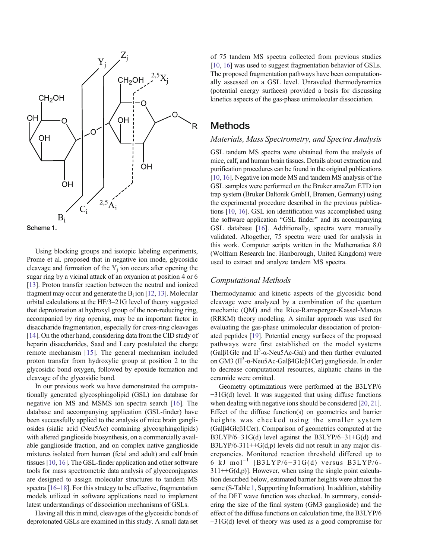<span id="page-1-0"></span>



Using blocking groups and isotopic labeling experiments, Prome et al. proposed that in negative ion mode, glycosidic cleavage and formation of the  $Y_j$  ion occurs after opening the sugar ring by a vicinal attack of an oxyanion at position 4 or 6 [\[13\]](#page-7-0). Proton transfer reaction between the neutral and ionized fragment may occur and generate the  $B_i$  ion [[12,](#page-7-0) [13\]](#page-7-0). Molecular orbital calculations at the HF/3–21G level of theory suggested that deprotonation at hydroxyl group of the non-reducing ring, accompanied by ring opening, may be an important factor in disaccharide fragmentation, especially for cross-ring cleavages [\[14\]](#page-7-0). On the other hand, considering data from the CID study of heparin disaccharides, Saad and Leary postulated the charge remote mechanism [[15\]](#page-7-0). The general mechanism included proton transfer from hydroxylic group at position 2 to the glycosidic bond oxygen, followed by epoxide formation and cleavage of the glycosidic bond.

In our previous work we have demonstrated the computationally generated glycosphingolipid (GSL) ion database for negative ion MS and MSMS ion spectra search [[16\]](#page-7-0). The database and accompanying application (GSL-finder) have been successfully applied to the analysis of mice brain gangliosides (sialic acid (Neu5Ac) containing glycosphingolipids) with altered ganglioside biosynthesis, on a commercially available ganglioside fraction, and on complex native ganglioside mixtures isolated from human (fetal and adult) and calf brain tissues [[10](#page-7-0), [16\]](#page-7-0). The GSL-finder application and other software tools for mass spectrometric data analysis of glycoconjugates are designed to assign molecular structures to tandem MS spectra [\[16](#page-7-0)–[18\]](#page-7-0). For this strategy to be effective, fragmentation models utilized in software applications need to implement latest understandings of dissociation mechanisms of GSLs.

Having all this in mind, cleavages of the glycosidic bonds of deprotonated GSLs are examined in this study. A small data set

of 75 tandem MS spectra collected from previous studies [\[10,](#page-7-0) [16\]](#page-7-0) was used to suggest fragmentation behavior of GSLs. The proposed fragmentation pathways have been computationally assessed on a GSL level. Unraveled thermodynamics (potential energy surfaces) provided a basis for discussing kinetics aspects of the gas-phase unimolecular dissociation.

### Methods

#### Materials, Mass Spectrometry, and Spectra Analysis

GSL tandem MS spectra were obtained from the analysis of mice, calf, and human brain tissues. Details about extraction and purification procedures can be found in the original publications [\[10,](#page-7-0) [16\]](#page-7-0). Negative ion mode MS and tandem MS analysis of the GSL samples were performed on the Bruker amaZon ETD ion trap system (Bruker Daltonik GmbH, Bremen, Germany) using the experimental procedure described in the previous publications [\[10](#page-7-0), [16](#page-7-0)]. GSL ion identification was accomplished using the software application "GSL finder" and its accompanying GSL database [[16](#page-7-0)]. Additionally, spectra were manually validated. Altogether, 75 spectra were used for analysis in this work. Computer scripts written in the Mathematica 8.0 (Wolfram Research Inc. Hanborough, United Kingdom) were used to extract and analyze tandem MS spectra.

#### Computational Methods

Thermodynamic and kinetic aspects of the glycosidic bond cleavage were analyzed by a combination of the quantum mechanic (QM) and the Rice-Ramsperger-Kassel-Marcus (RRKM) theory modeling. A similar approach was used for evaluating the gas-phase unimolecular dissociation of protonated peptides [\[19](#page-7-0)]. Potential energy surfaces of the proposed pathways were first established on the model systems (Gal $\beta$ 1Glc and II<sup>3</sup>- $\alpha$ -Neu5Ac-Gal) and then further evaluated on GM3 (Π<sup>3</sup>-α-Neu5Ac-Galβ4Glcβ1Cer) ganglioside. In order to decrease computational resources, aliphatic chains in the ceramide were omitted.

Geometry optimizations were performed at the B3LYP/6 −31G(d) level. It was suggested that using diffuse functions when dealing with negative ions should be considered [\[20](#page-7-0), [21](#page-7-0)]. Effect of the diffuse function(s) on geometries and barrier heights was checked using the smaller system (Galβ4Glcβ1Cer). Comparison of geometries computed at the B3LYP/6−31G(d) level against the B3LYP/6−31+G(d) and  $B3LYP/6-311++G(d,p)$  levels did not result in any major discrepancies. Monitored reaction threshold differed up to 6 kJ mol<sup>-1</sup> [B3LYP/6-31G(d) versus B3LYP/6- $311++G(d,p)$ ]. However, when using the single point calculation described below, estimated barrier heights were almost the same (S-Table 1, Supporting Information). In addition, stability of the DFT wave function was checked. In summary, considering the size of the final system (GM3 ganglioside) and the effect of the diffuse functions on calculation time, the B3LYP/6 −31G(d) level of theory was used as a good compromise for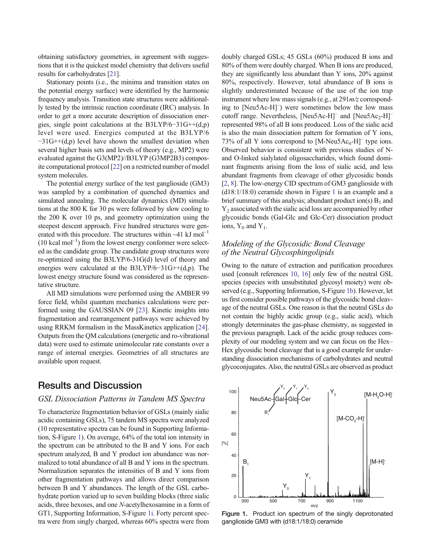<span id="page-2-0"></span>obtaining satisfactory geometries, in agreement with suggestions that it is the quickest model chemistry that delivers useful results for carbohydrates [\[21](#page-7-0)].

Stationary points (i.e., the minima and transition states on the potential energy surface) were identified by the harmonic frequency analysis. Transition state structures were additionally tested by the intrinsic reaction coordinate (IRC) analysis. In order to get a more accurate description of dissociation energies, single point calculations at the B3LYP/6−31G++(d,p) level were used. Energies computed at the B3LYP/6 −31G++(d,p) level have shown the smallest deviation when several higher basis sets and levels of theory (e.g., MP2) were evaluated against the G3(MP2)//B3LYP (G3MP2B3) composite computational protocol [[22](#page-7-0)] on a restricted number of model system molecules.

The potential energy surface of the test ganglioside (GM3) was sampled by a combination of quenched dynamics and simulated annealing. The molecular dynamics (MD) simulations at the 800 K for 30 ps were followed by slow cooling to the 200 K over 10 ps, and geometry optimization using the steepest descent approach. Five hundred structures were generated with this procedure. The structures within  $~1$  kJ mol<sup>-1</sup>  $(10 \text{ kcal mol}^{-1})$  from the lowest energy conformer were selected as the candidate group. The candidate group structures were re-optimized using the B3LYP/6-31G(d) level of theory and energies were calculated at the B3LYP/6−31G++(d,p). The lowest energy structure found was considered as the representative structure.

All MD simulations were performed using the AMBER 99 force field, whilst quantum mechanics calculations were performed using the GAUSSIAN 09 [[23\]](#page-7-0). Kinetic insights into fragmentation and rearrangement pathways were achieved by using RRKM formalism in the MassKinetics application [\[24](#page-7-0)]. Outputs from the QM calculations (energetic and ro-vibrational data) were used to estimate unimolecular rate constants over a range of internal energies. Geometries of all structures are available upon request.

## Results and Discussion

#### GSL Dissociation Patterns in Tandem MS Spectra

To characterize fragmentation behavior of GSLs (mainly sialic acidic containing GSLs), 75 tandem MS spectra were analyzed (10 representative spectra can be found in Supporting Information, S-Figure 1). On average, 64% of the total ion intensity in the spectrum can be attributed to the B and Y ions. For each spectrum analyzed, B and Y product ion abundance was normalized to total abundance of all B and Y ions in the spectrum. Normalization separates the intensities of B and Y ions from other fragmentation pathways and allows direct comparison between B and Y abundances. The length of the GSL carbohydrate portion varied up to seven building blocks (three sialic acids, three hexoses, and one N-acetylhexosamine in a form of GT1, Supporting Information, S-Figure 1i. Forty percent spectra were from singly charged, whereas 60% spectra were from

doubly charged GSLs; 45 GSLs (60%) produced B ions and 80% of them were doubly charged. When B ions are produced, they are significantly less abundant than Y ions, 20% against 80%, respectively. However, total abundance of B ions is slightly underestimated because of the use of the ion trap instrument where low mass signals (e.g., at  $291m/z$  corresponding to [Neu5Ac-H]– ) were sometimes below the low mass cutoff range. Nevertheless,  $[Neu5Ac-H]$ <sup>–</sup> and  $[Neu5Ac_2-H]$ <sup>–</sup> represented 98% of all B ions produced. Loss of the sialic acid is also the main dissociation pattern for formation of Y ions, 73% of all Y ions correspond to  $[M-Neu5Ac<sub>n</sub>-H]$ <sup>–</sup> type ions. Observed behavior is consistent with previous studies of Nand O-linked sialylated oligosaccharides, which found dominant fragments arising from the loss of sialic acid, and less abundant fragments from cleavage of other glycosidic bonds [\[2,](#page-6-0) [8](#page-7-0)]. The low-energy CID spectrum of GM3 ganglioside with (d18:1/18:0) ceramide shown in Figure 1 is an example and a brief summary of this analysis; abundant product ion(s)  $B_1$  and  $Y_2$  associated with the sialic acid loss are accompanied by other glycosidic bonds (Gal-Glc and Glc-Cer) dissociation product ions,  $Y_0$  and  $Y_1$ .

#### Modeling of the Glycosidic Bond Cleavage of the Neutral Glycosphingolipids

Owing to the nature of extraction and purification procedures used [consult references [10,](#page-7-0) [16](#page-7-0)] only few of the neutral GSL species (species with unsubstituted glycosyl moiety) were observed (e.g., Supporting Information, S-Figure 1b). However, let us first consider possible pathways of the glycosidic bond cleavage of the neutral GSLs. One reason is that the neutral GSLs do not contain the highly acidic group (e.g., sialic acid), which strongly determinates the gas-phase chemistry, as suggested in the previous paragraph. Lack of the acidic group reduces complexity of our modeling system and we can focus on the Hex– Hex glycosidic bond cleavage that is a good example for understanding dissociation mechanisms of carbohydrates and neutral glycoconjugates. Also, the neutral GSLs are observed as product



Figure 1. Product ion spectrum of the singly deprotonated ganglioside GM3 with (d18:1/18:0) ceramide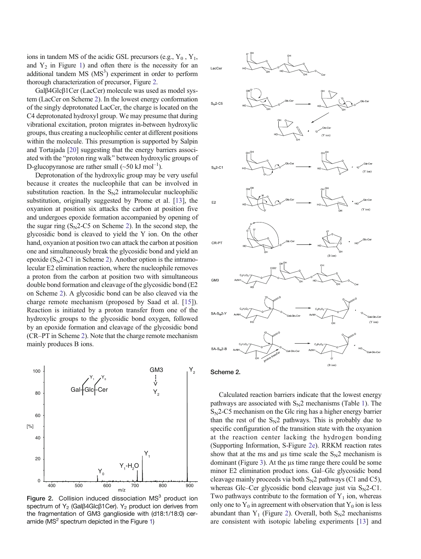<span id="page-3-0"></span>ions in tandem MS of the acidic GSL precursors (e.g.,  $Y_0$ ,  $Y_1$ , and  $Y_2$  in Figure [1\)](#page-2-0) and often there is the necessity for an additional tandem  $MS (MS<sup>3</sup>)$  experiment in order to perform thorough characterization of precursor, Figure 2.

Galβ4Glcβ1Cer (LacCer) molecule was used as model system (LacCer on Scheme 2). In the lowest energy conformation of the singly deprotonated LacCer, the charge is located on the C4 deprotonated hydroxyl group. We may presume that during vibrational excitation, proton migrates in-between hydroxylic groups, thus creating a nucleophilic center at different positions within the molecule. This presumption is supported by Salpin and Tortajada [\[20\]](#page-7-0) suggesting that the energy barriers associated with the "proton ring walk" between hydroxylic groups of D-glucopyranose are rather small  $(\sim 50 \text{ kJ mol}^{-1})$ .

Deprotonation of the hydroxylic group may be very useful because it creates the nucleophile that can be involved in substitution reaction. In the  $S_N2$  intramolecular nucleophilic substitution, originally suggested by Prome et al. [\[13](#page-7-0)], the oxyanion at position six attacks the carbon at position five and undergoes epoxide formation accompanied by opening of the sugar ring  $(S_N^2 - C_5^2)$  on Scheme 2). In the second step, the glycosidic bond is cleaved to yield the Y ion. On the other hand, oxyanion at position two can attack the carbon at position one and simultaneously break the glycosidic bond and yield an epoxide  $(S_N^2-Cl)$  in Scheme 2). Another option is the intramolecular E2 elimination reaction, where the nucleophile removes a proton from the carbon at position two with simultaneous double bond formation and cleavage of the glycosidic bond (E2 on Scheme 2). A glycosidic bond can be also cleaved via the charge remote mechanism (proposed by Saad et al. [[15\]](#page-7-0)). Reaction is initiated by a proton transfer from one of the hydroxylic groups to the glycosidic bond oxygen, followed by an epoxide formation and cleavage of the glycosidic bond (CR–PT in Scheme 2). Note that the charge remote mechanism mainly produces B ions.



Figure 2. Collision induced dissociation  $MS<sup>3</sup>$  product ion spectrum of Y<sub>2</sub> (Gal $\beta$ 4Glc $\beta$ 1Cer). Y<sub>2</sub> product ion derives from the fragmentation of GM3 ganglioside with (d18:1/18:0) ceramide ( $MS<sup>2</sup>$  spectrum depicted in the Figure [1](#page-2-0))



#### Scheme 2.

Calculated reaction barriers indicate that the lowest energy pathways are associated with  $S_N^2$  mechanisms (Table [1](#page-4-0)). The  $S_N$ 2-C5 mechanism on the Glc ring has a higher energy barrier than the rest of the  $S_N2$  pathways. This is probably due to specific configuration of the transition state with the oxyanion at the reaction center lacking the hydrogen bonding (Supporting Information, S-Figure 2e). RRKM reaction rates show that at the ms and μs time scale the  $S_N2$  mechanism is dominant (Figure [3\)](#page-4-0). At the μs time range there could be some minor E2 elimination product ions. Gal–Glc glycosidic bond cleavage mainly proceeds via both  $S_N2$  pathways (C1 and C5), whereas Glc–Cer glycosidic bond cleavage just via  $S_N^2$ –C1. Two pathways contribute to the formation of  $Y_1$  ion, whereas only one to  $Y_0$  in agreement with observation that  $Y_0$  ion is less abundant than  $Y_1$  (Figure 2). Overall, both  $S_N2$  mechanisms are consistent with isotopic labeling experiments [\[13](#page-7-0)] and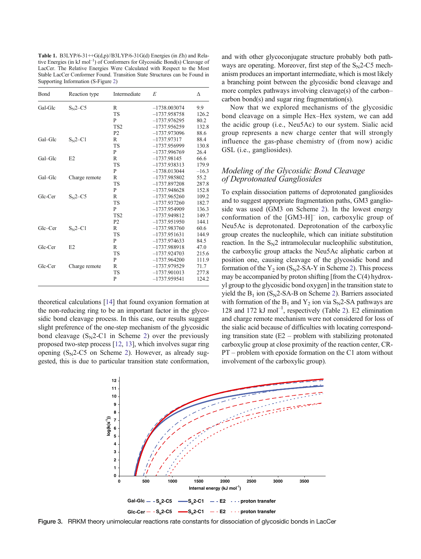<span id="page-4-0"></span>Table 1. B3LYP/6-31 $\leftrightarrow$ G(d,p)//B3LYP/6-31G(d) Energies (in Eh) and Relative Energies (in kJ mol<sup>-1</sup>) of Conformers for Glycosidic Bond(s) Cleavage of LacCer. The Relative Energies Were Calculated with Respect to the Most Stable LacCer Conformer Found. Transition State Structures can be Found in Supporting Information (S-Figure 2)

| Bond    | Reaction type | Intermediate    | E              | Λ       |
|---------|---------------|-----------------|----------------|---------|
| Gal-Glc | $S_{N2}$ –C5  | R               | $-1738.003074$ | 9.9     |
|         |               | <b>TS</b>       | $-1737.958758$ | 126.2   |
|         |               | P               | $-1737.976295$ | 80.2    |
|         |               | TS <sub>2</sub> | $-1737.956259$ | 132.8   |
|         |               | P <sub>2</sub>  | $-1737.973096$ | 88.6    |
| Gal-Glc | $S_N2 - C1$   | R               | $-1737.97317$  | 88.4    |
|         |               | <b>TS</b>       | $-1737.956999$ | 130.8   |
|         |               | P               | $-1737.996769$ | 26.4    |
| Gal-Glc | E2            | $\mathbb{R}$    | $-1737.98145$  | 66.6    |
|         |               | <b>TS</b>       | $-1737.938313$ | 179.9   |
|         |               | P               | $-1738.013044$ | $-16.3$ |
| Gal-Glc | Charge remote | R               | $-1737.985802$ | 55.2    |
|         |               | <b>TS</b>       | $-1737.897208$ | 287.8   |
|         |               | P               | $-1737.948628$ | 152.8   |
| Glc-Cer | $SN2-C5$      | R               | $-1737.965260$ | 109.2   |
|         |               | <b>TS</b>       | $-1737.937260$ | 182.7   |
|         |               | P               | $-1737.954909$ | 136.3   |
|         |               | TS <sub>2</sub> | $-1737.949812$ | 149.7   |
|         |               | P <sub>2</sub>  | $-1737.951950$ | 144.1   |
| Glc-Cer | $S_{N}$ 2–C1  | R               | $-1737.983760$ | 60.6    |
|         |               | <b>TS</b>       | $-1737.951631$ | 144.9   |
|         |               | P               | $-1737.974633$ | 84.5    |
| Glc-Cer | E2            | R               | $-1737.988918$ | 47.0    |
|         |               | <b>TS</b>       | $-1737.924703$ | 215.6   |
|         |               | P               | $-1737.964200$ | 111.9   |
| Glc-Cer | Charge remote | R               | $-1737.979529$ | 71.7    |
|         |               | <b>TS</b>       | $-1737.901013$ | 277.8   |
|         |               | P               | $-1737.959541$ | 124.2   |
|         |               |                 |                |         |

theoretical calculations [\[14](#page-7-0)] that found oxyanion formation at the non-reducing ring to be an important factor in the glycosidic bond cleavage process. In this case, our results suggest slight preference of the one-step mechanism of the glycosidic bond cleavage  $(S_N^2-C1)$  $(S_N^2-C1)$  $(S_N^2-C1)$  in Scheme 2) over the previously proposed two-step process [\[12](#page-7-0), [13\]](#page-7-0), which involves sugar ring opening  $(S_N2-C5)$  on Scheme [2\)](#page-3-0). However, as already suggested, this is due to particular transition state conformation,

and with other glycoconjugate structure probably both pathways are operating. Moreover, first step of the  $S_N2$ -C5 mechanism produces an important intermediate, which is most likely a branching point between the glycosidic bond cleavage and more complex pathways involving cleavage(s) of the carbon– carbon bond(s) and sugar ring fragmentation(s).

Now that we explored mechanisms of the glycosidic bond cleavage on a simple Hex–Hex system, we can add the acidic group (i.e., Neu5Ac) to our system. Sialic acid group represents a new charge center that will strongly influence the gas-phase chemistry of (from now) acidic GSL (i.e., gangliosides).

#### Modeling of the Glycosidic Bond Cleavage of Deprotonated Gangliosides

To explain dissociation patterns of deprotonated gangliosides and to suggest appropriate fragmentation paths, GM3 ganglioside was used (GM3 on Scheme [2\)](#page-3-0). In the lowest energy conformation of the [GM3-H]– ion, carboxylic group of Neu5Ac is deprotonated. Deprotonation of the carboxylic group creates the nucleophile, which can initiate substitution reaction. In the  $S_N2$  intramolecular nucleophilic substitution, the carboxylic group attacks the Neu5Ac aliphatic carbon at position one, causing cleavage of the glycosidic bond and formation of the  $Y_2$  ion (S<sub>N</sub>2-SA-Y in Scheme [2\)](#page-3-0). This process may be accompanied by proton shifting [from the C(4) hydroxyl group to the glycosidic bond oxygen] in the transition state to yield the  $B_1$  ion (S<sub>N</sub>2-SA-B on Scheme [2\)](#page-3-0). Barriers associated with formation of the  $B_1$  and  $Y_2$  ion via  $S_N$ 2-SA pathways are 1[2](#page-5-0)8 and 172 kJ mol<sup>-1</sup>, respectively (Table 2). E2 elimination and charge remote mechanism were not considered for loss of the sialic acid because of difficulties with locating corresponding transition state  $(E2 - problem$  with stabilizing protonated carboxylic group at close proximity of the reaction center, CR-PT – problem with epoxide formation on the C1 atom without involvement of the carboxylic group).



Figure 3. RRKM theory unimolecular reactions rate constants for dissociation of glycosidic bonds in LacCer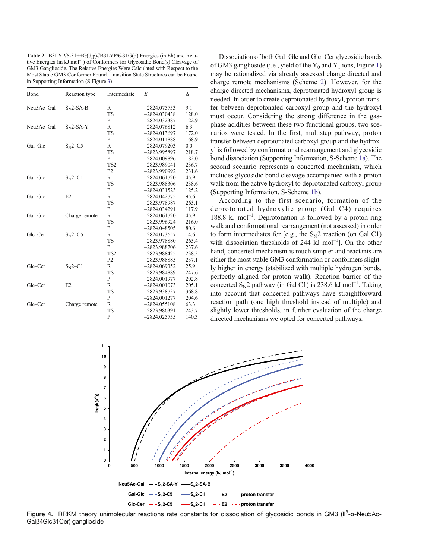<span id="page-5-0"></span>Table 2. B3LYP/6-31++G(d,p)//B3LYP/6-31G(d) Energies (in  $E$ h) and Relative Energies (in kJ mol<sup>-1</sup>) of Conformers for Glycosidic Bond(s) Cleavage of GM3 Ganglioside. The Relative Energies Were Calculated with Respect to the Most Stable GM3 Conformer Found. Transition State Structures can be Found in Supporting Information (S-Figure 3)

| Bond       | Reaction type | Intermediate    | E              | Λ     |
|------------|---------------|-----------------|----------------|-------|
| Neu5Ac-Gal | $SN2-SA-B$    | R               | $-2824.075753$ | 9.1   |
|            |               | <b>TS</b>       | $-2824.030438$ | 128.0 |
|            |               | P               | $-2824.032387$ | 122.9 |
| Neu5Ac-Gal | $SN2-SA-Y$    | R               | $-2824.076812$ | 6.3   |
|            |               | <b>TS</b>       | $-2824.013697$ | 172.0 |
|            |               | P               | $-2824.014888$ | 168.9 |
| Gal-Glc    | $S_{N2}$ –C5  | R               | $-2824.079203$ | 0.0   |
|            |               | <b>TS</b>       | $-2823.995897$ | 218.7 |
|            |               | P               | $-2824.009896$ | 182.0 |
|            |               | TS <sub>2</sub> | $-2823.989041$ | 236.7 |
|            |               | P <sub>2</sub>  | $-2823.990992$ | 231.6 |
| Gal-Glc    | $S_{N}$ 2–C1  | R               | $-2824.061720$ | 45.9  |
|            |               | <b>TS</b>       | $-2823.988306$ | 238.6 |
|            |               | P               | $-2824.031523$ | 125.2 |
| Gal-Glc    | E2            | R               | $-2824.042775$ | 95.6  |
|            |               | <b>TS</b>       | $-2823.978987$ | 263.1 |
|            |               | P               | $-2824.034291$ | 117.9 |
| Gal-Glc    | Charge remote | R               | $-2824.061720$ | 45.9  |
|            |               | <b>TS</b>       | $-2823.996924$ | 216.0 |
|            |               | P               | $-2824.048505$ | 80.6  |
| Glc-Cer    | $S_{N}$ 2–C5  | $\mathbb{R}$    | $-2824.073657$ | 14.6  |
|            |               | <b>TS</b>       | $-2823.978880$ | 263.4 |
|            |               | P               | $-2823.988706$ | 237.6 |
|            |               | TS <sub>2</sub> | $-2823.988425$ | 238.3 |
|            |               | P <sub>2</sub>  | -2823.988885   | 237.1 |
| Glc-Cer    | $S_{N2}$ –C1  | R               | $-2824.069352$ | 25.9  |
|            |               | <b>TS</b>       | $-2823.984889$ | 247.6 |
|            |               | P               | $-2824.001977$ | 202.8 |
| Glc-Cer    | E2            | R               | $-2824.001073$ | 205.1 |
|            |               | <b>TS</b>       | $-2823.938737$ | 368.8 |
|            |               | P               | $-2824.001277$ | 204.6 |
| Glc-Cer    | Charge remote | R               | $-2824.055108$ | 63.3  |
|            |               | <b>TS</b>       | $-2823.986391$ | 243.7 |
|            |               | P               | $-2824.025755$ | 140.3 |

Dissociation of both Gal–Glc and Glc–Cer glycosidic bonds of GM3 ganglioside (i.e., yield of the  $Y_0$  and  $Y_1$  ions, Figure [1\)](#page-2-0) may be rationalized via already assessed charge directed and charge remote mechanisms (Scheme [2](#page-3-0)). However, for the charge directed mechanisms, deprotonated hydroxyl group is needed. In order to create deprotonated hydroxyl, proton transfer between deprotonated carboxyl group and the hydroxyl must occur. Considering the strong difference in the gasphase acidities between these two functional groups, two scenarios were tested. In the first, multistep pathway, proton transfer between deprotonated carboxyl group and the hydroxyl is followed by conformational rearrangement and glycosidic bond dissociation (Supporting Information, S-Scheme 1a). The second scenario represents a concerted mechanism, which includes glycosidic bond cleavage accompanied with a proton walk from the active hydroxyl to deprotonated carboxyl group (Supporting Information, S-Scheme 1b).

According to the first scenario, formation of the deprotonated hydroxylic group (Gal C4) requires 188.8 kJ mol<sup>-1</sup>. Deprotonation is followed by a proton ring walk and conformational rearrangement (not assessed) in order to form intermediates for [e.g., the  $S_N2$  reaction (on Gal C1) with dissociation thresholds of 244  $kJ$  mol<sup>-1</sup>]. On the other hand, concerted mechanism is much simpler and reactants are either the most stable GM3 conformation or conformers slightly higher in energy (stabilized with multiple hydrogen bonds, perfectly aligned for proton walk). Reaction barrier of the concerted  $S_N$ 2 pathway (in Gal C1) is 238.6 kJ mol<sup>-1</sup>. Taking into account that concerted pathways have straightforward reaction path (one high threshold instead of multiple) and slightly lower thresholds, in further evaluation of the charge directed mechanisms we opted for concerted pathways.



Figure 4. RRKM theory unimolecular reactions rate constants for dissociation of glycosidic bonds in GM3 (II<sup>3</sup>-α-Neu5Ac-Galβ4Glcβ1Cer) ganglioside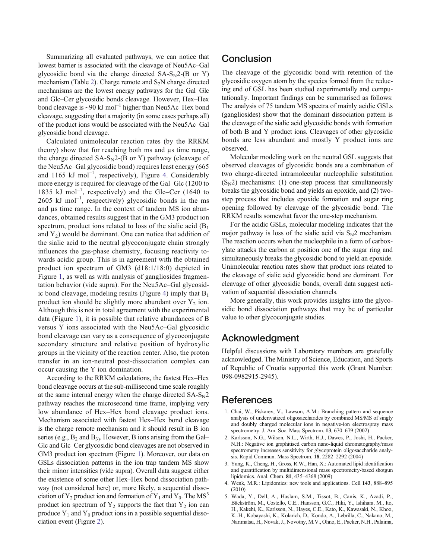<span id="page-6-0"></span>Summarizing all evaluated pathways, we can notice that lowest barrier is associated with the cleavage of Neu5Ac–Gal glycosidic bond via the charge directed  $SA-S<sub>N</sub>2-(B \text{ or } Y)$ mechanism (Table [2](#page-5-0)). Charge remote and  $S_2N$  charge directed mechanisms are the lowest energy pathways for the Gal–Glc and Glc–Cer glycosidic bonds cleavage. However, Hex–Hex bond cleavage is  $\sim 90 \text{ kJ mol}^{-1}$  higher than Neu5Ac–Hex bond cleavage, suggesting that a majority (in some cases perhaps all) of the product ions would be associated with the Neu5Ac–Gal glycosidic bond cleavage.

Calculated unimolecular reaction rates (by the RRKM theory) show that for reaching both ms and μs time range, the charge directed  $SA-S<sub>N</sub>2-(B \text{ or } Y)$  pathway (cleavage of the Neu5Ac–Gal glycosidic bond) requires least energy (665 and 1165 kJ mol<sup>-1</sup>, respectively), Figure [4](#page-5-0). Considerably more energy is required for cleavage of the Gal–Glc (1200 to 1835 kJ mol<sup>-1</sup>, respectively) and the Glc–Cer (1640 to  $2605$  kJ mol<sup>-1</sup>, respectively) glycosidic bonds in the ms and μs time range. In the context of tandem MS ion abundances, obtained results suggest that in the GM3 product ion spectrum, product ions related to loss of the sialic acid  $(B_1)$ and  $Y_2$ ) would be dominant. One can notice that addition of the sialic acid to the neutral glycoconjugate chain strongly influences the gas-phase chemistry, focusing reactivity towards acidic group. This is in agreement with the obtained product ion spectrum of GM3 (d18:1/18:0) depicted in Figure [1](#page-2-0), as well as with analysis of gangliosides fragmentation behavior (vide supra). For the Neu5Ac–Gal glycosid-ic bond cleavage, modeling results (Figure [4](#page-5-0)) imply that  $B_1$ product ion should be slightly more abundant over  $Y_2$  ion. Although this is not in total agreement with the experimental data (Figure [1\)](#page-2-0), it is possible that relative abundances of B versus Y ions associated with the Neu5Ac–Gal glycosidic bond cleavage can vary as a consequence of glycoconjugate secondary structure and relative position of hydroxylic groups in the vicinity of the reaction center. Also, the proton transfer in an ion-neutral post-dissociation complex can occur causing the Y ion domination.

According to the RRKM calculations, the fastest Hex–Hex bond cleavage occurs at the sub-millisecond time scale roughly at the same internal energy when the charge directed  $SA-S<sub>N</sub>2$ pathway reaches the microsecond time frame, implying very low abundance of Hex–Hex bond cleavage product ions. Mechanism associated with fastest Hex–Hex bond cleavage is the charge remote mechanism and it should result in B ion series (e.g.,  $B_2$  and  $B_3$ ). However, B ions arising from the Gal– Glc and Glc–Cer glycosidic bond cleavages are not observed in GM3 product ion spectrum (Figure [1](#page-2-0)). Moreover, our data on GSLs dissociation patterns in the ion trap tandem MS show their minor intensities (vide supra). Overall data suggest either the existence of some other Hex–Hex bond dissociation pathway (not considered here) or, more likely, a sequential dissociation of  $Y_2$  product ion and formation of  $Y_1$  and  $Y_0$ . The MS<sup>3</sup> product ion spectrum of  $Y_2$  supports the fact that  $Y_2$  ion can produce  $Y_1$  and  $Y_0$  product ions in a possible sequential dissociation event (Figure [2](#page-3-0)).

### **Conclusion**

The cleavage of the glycosidic bond with retention of the glycosidic oxygen atom by the species formed from the reducing end of GSL has been studied experimentally and computationally. Important findings can be summarised as follows: The analysis of 75 tandem MS spectra of mainly acidic GSLs (gangliosides) show that the dominant dissociation pattern is the cleavage of the sialic acid glycosidic bonds with formation of both B and Y product ions. Cleavages of other glycosidic bonds are less abundant and mostly Y product ions are observed.

Molecular modeling work on the neutral GSL suggests that observed cleavages of glycosidic bonds are a combination of two charge-directed intramolecular nucleophilic substitution  $(S_N^2)$  mechanisms: (1) one-step process that simultaneously breaks the glycosidic bond and yields an epoxide, and (2) twostep process that includes epoxide formation and sugar ring opening followed by cleavage of the glycosidic bond. The RRKM results somewhat favor the one-step mechanism.

For the acidic GSLs, molecular modeling indicates that the major pathway is loss of the sialic acid via  $S_N$ 2 mechanism. The reaction occurs when the nucleophile in a form of carboxylate attacks the carbon at position one of the sugar ring and simultaneously breaks the glycosidic bond to yield an epoxide. Unimolecular reaction rates show that product ions related to the cleavage of sialic acid glycosidic bond are dominant. For cleavage of other glycosidic bonds, overall data suggest activation of sequential dissociation channels.

More generally, this work provides insights into the glycosidic bond dissociation pathways that may be of particular value to other glycoconjugate studies.

# Acknowledgment

Helpful discussions with Laboratory members are gratefully acknowledged. The Ministry of Science, Education, and Sports of Republic of Croatia supported this work (Grant Number: 098-0982915-2945).

### References

- 1. Chai, W., Piskarev, V., Lawson, A.M.: Branching pattern and sequence analysis of underivatized oligosaccharides by combined MS/MS of singly and doubly charged molecular ions in negative-ion electrospray mass spectrometry. J. Am. Soc. Mass Spectrom. 13, 670–679 (2002)
- 2. Karlsson, N.G., Wilson, N.L., Wirth, H.J., Dawes, P., Joshi, H., Packer, N.H.: Negative ion graphitised carbon nano-liquid chromatography/mass spectrometry increases sensitivity for glycoprotein oligosaccharide analysis. Rapid Commun. Mass Spectrom. 18, 2282–2292 (2004)
- 3. Yang, K., Cheng, H., Gross, R.W., Han, X.: Automated lipid identification and quantification by multidimensional mass spectrometry-based shotgun lipidomics. Anal. Chem. 81, 435–4368 (2009)
- 4. Wenk, M.R.: Lipidomics: new tools and applications. Cell 143, 888–895 (2010)
- 5. Wada, Y., Dell, A., Haslam, S.M., Tissot, B., Canis, K., Azadi, P., Bäckström, M., Costello, C.E., Hansson, G.C., Hiki, Y., Ishihara, M., Ito, H., Kakehi, K., Karlsson, N., Hayes, C.E., Kato, K., Kawasaki, N., Khoo, K.-H., Kobayashi, K., Kolarich, D., Kondo, A., Lebrilla, C., Nakano, M., Narimatsu, H., Novak, J., Novotny, M.V., Ohno, E., Packer, N.H., Palaima,